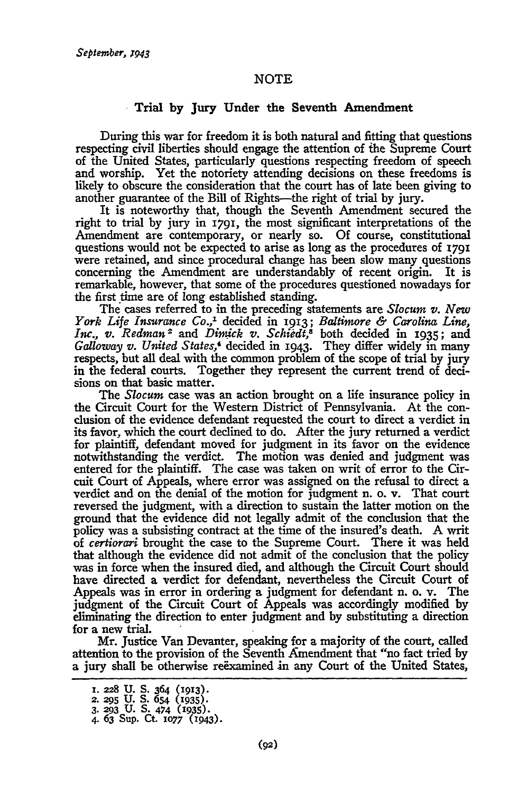## NOTE

## Trial **by Jury** Under the Seventh Amendment

During this war for freedom it is both natural and fitting that questions respecting civil liberties should engage the attention of ihe Supreme Court of the United States, particularly questions respecting freedom of speech and worship. Yet the notoriety attending decisions on these freedoms is likely to obscure the consideration that the court has of late been giving to another guarantee of the Bill of Rights-the right of trial **by** jury.

It is noteworthy that, though the Seventh Amendment secured the right to trial **by** jury in **1791,** the most significant interpretations of the Amendment are contemporary, or nearly so. **Of** course, constitutional questions would not be expected to **arise** as long as the procedures **of** 1791 were retained, and since procedural change has been slow many questions concerning the Amendment are understandably of recent origin. It is remarkable, however, that some of the procedures questioned nowadays for the first time are of long established standing.

The cases referred to in the preceding statements are *Slocum v. New York Life Insurance Co.,1* decided in **1913;** *Baltimore & Carolina Line, Inc., v. Redman <sup>2</sup>*and *Dimnick v. Schidt,8* both decided in 1935; and *Galloway v. United States,4* decided **in 1943.** They differ widely in many respects, but all deal with the common problem of the scope of trial **by** jury in the federal courts. Together they represent the current trend of **deci**sions on that basic matter.

The *Slocum* case was an action brought on a life insurance policy in the Circuit Court for the Western District of Pennsylvania. At the conclusion of the evidence defendant requested the court to direct a verdict in its favor, which the court declined to do. After the jury returned a verdict for plaintiff, defendant moved for judgment in its favor on the evidence notwithstanding the verdict. The motion was denied and judgment was entered for the plaintiff. The case was taken on writ of error to the Circuit Court of Appeals, where error was assigned on the refusal to direct a verdict and on the denial of the motion for judgment n. o. v. That court reversed the judgment, with a direction to sustain the latter motion on the ground that the evidence did not legally admit of the conclusion that the policy was a subsisting contract at the time of the insured's death. **A** writ of *certiorari* brought the case to the Supreme Court. There it was held that although the evidence did not admit of the conclusion that the policy was in force when the insured died, and although the Circuit Court should have directed a verdict for defendant, nevertheless the Circuit Court of Appeals was in error in ordering a judgment for defendant n. o. v. The judgment of the Circuit Court of Appeals was accordingly modified **by** eliminating the direction to enter judgment and **by** substituting a direction for a new trial.

Mr. justice Van Devanter, speaking for a majority of the court, called attention to the **provision** of the Seventh Amendment that "no fact tried **by** a jury shall be **otherwise** reExamined in any Court of the United States,

**I. 228 U. S. 364 (1913). 2. 295 U. S.** 654 **(1935).**

**<sup>3. 293</sup> U. S.** *474* **(1935). 4. 63 Sup.** Ct. **1077 (I943).**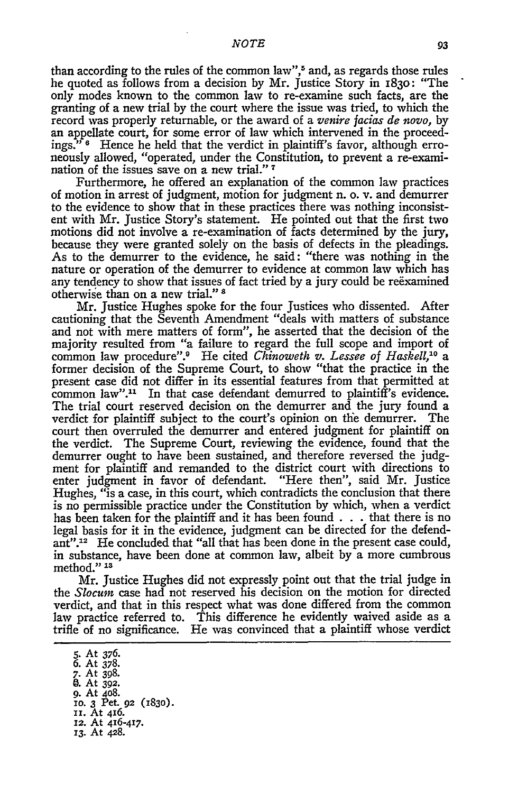than according to the rules of the common law",<sup>5</sup> and, as regards those rules he quoted as follows from a decision by Mr. Justice Story in 1830: "The only modes known to the common law to re-examine such facts, are the granting of a new trial by the court where the issue was tried, to which the record was properly returnable, or the award of a *venire facias de novo,* by an appellate court, for some error of law which intervened in the proceedings." **6** Hence he held that the verdict in plaintiff's favor, although erroneously allowed, "operated, under the Constitution, to prevent a re-examination of the issues save on a new trial."<sup>7</sup>

Furthermore, he offered an explanation of the common law practices of motion in arrest of judgment, motion for judgment n. o. v. and demurrer to the evidence to show that in these practices there was nothing inconsistent with Mr. Justice Story's statement. He pointed out that the first two motions did not involve a re-examination of facts determined by the jury, because they were granted solely on the basis of defects in the pleadings. As to the demurrer to the evidence, he said: "there was nothing in the nature or operation of the demurrer to evidence at common law which has any tendency to show that issues of fact tried by a jury could be reexamined otherwise than on a new trial." s

Mr. Justice Hughes spoke for the four Justices who dissented. After cautioning that the Seventh Amendment "deals with matters of substance and not with mere matters of form", he asserted that the decision of the majority resulted from "a failure to regard the full scope and import of common law procedure".<sup>9</sup> He cited *Chinoweth v. Lessee of Haskell*,<sup>10</sup> a former decision of the Supreme Court, to show "that the practice in the present case did not differ in its essential features from that permitted at common law".<sup>11</sup> In that case defendant demurred to plaintiff's evidence. The trial court reserved decision on the demurrer and the jury found a verdict for plaintiff subject to the court's opinion on the demurrer. The court then overruled the demurrer and entered judgment for plaintiff on the verdict. The Supreme Court, reviewing the evidence, found that the demurrer ought to have been sustained, and therefore reversed the judgment for plaintiff and remanded to the district court with directions to enter judgment in favor of defendant. "Here then", said Mr. Justice Hughes, "is a case, in this court, which contradicts the conclusion that there is no permissible practice under the Constitution **by** which, when a verdict has been taken for the plaintiff and it has been found **. . .**that there is no legal basis for it in the evidence, judgment can be directed for the defendant".12 He concluded that "all that has been done in the present case could, in substance, have been done at common law, albeit **by** a more cumbrous method." **1s**

Mr. Justice Hughes did not expressly point out that the trial judge in the *Slocum* case had not reserved his decision on the motion for directed verdict, and that in this respect what was done differed from the common law practice referred to. This difference he evidently waived aside as a trifle of no significance. He was convinced that a plaintiff whose verdict

*5.* At 376. 6. At 378. *7.* At 398. **0. At 392. 9.** At 408. **i0. 3** Pet. **92** (283O). **i.** At 416. **12.** At 416-417. *13.* At 428.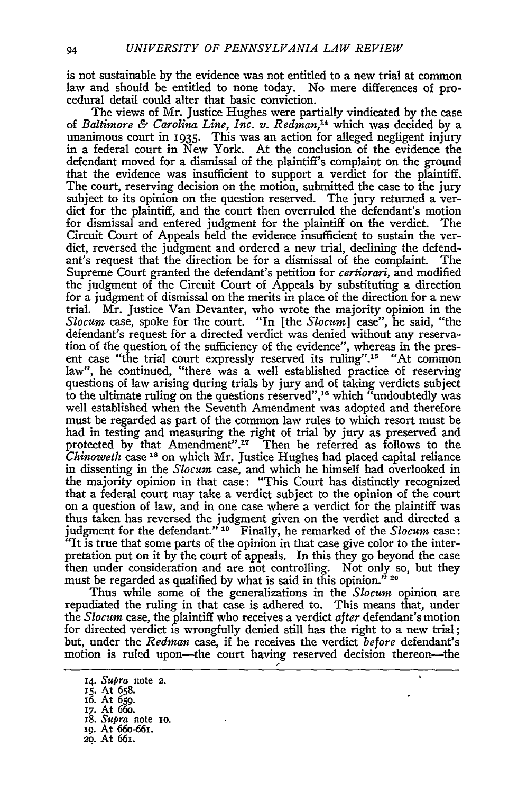is not sustainable by the evidence was not entitled to a new trial at common law and should be entitled to none today. No mere differences of procedural detail could alter that basic conviction.

The views of Mr. Justice Hughes were partially vindicated by the case *of Baltimore & Carolina Line, Inc. v. Redman, <sup>4</sup>*which was decided by a unanimous court in **1935.** This was an action for alleged negligent injury in a federal court in New York. At the conclusion of the evidence the defendant moved for a dismissal of the plaintiff's complaint on the ground that the evidence was insufficient to support a verdict for the plaintiff. The court, reserving decision on the motion, submitted the case to the jury subject to its opinion on the question reserved. The jury returned a verdict for the plaintiff, and the court then overruled the defendant's motion for dismissal and entered judgment for the plaintiff on the verdict. The Circuit Court of Appeals held the evidence insufficient to sustain the verdict, reversed the judgment and ordered a new trial, declining the defendant's request that the direction be for a dismissal of the complaint. The Supreme Court granted the defendant's petition for *certiorari,* and modified the judgment of the Circuit Court of Appeals by substituting a direction for a judgment of dismissal on the merits in place of the direction for a new trial. Mr. Justice Van Devanter, who wrote the majority opinion in the *Slocum* case, spoke for the court. "In [the *Slocum]* case", he said, "the defendant's request for a directed verdict was denied without any reservation of the question of the sufficiency of the evidence", whereas in the present case "the trial court expressly reserved its ruling".<sup>15</sup> "At common law", he continued, "there was a well established practice of reserving questions of law arising during trials by jury and of taking verdicts subject to the ultimate ruling on the questions reserved",<sup>16</sup> which "undoubtedly was well established when the Seventh Amendment was adopted and therefore must be regarded as part of the common law rules to which resort must be had in testing and measuring the right of trial by jury as preserved and protected by that Amendment".1? Then he referred as follows to the *Chinoweth* case 18 on which Mr. Justice Hughes had placed capital reliance in dissenting in the *Slocum* case, and which he himself had overlooked in the majority opinion in that case: "This Court has distinctly recognized that a federal court may take a verdict subject to the opinion of the court on a question of law, and in one case where a verdict for the plaintiff was thus taken has reversed the judgment given on the verdict and directed a judgment for the defendant." **19** Finally, he remarked of the *Slocum* case: "It is true that some parts of the opinion in that case give color to the interpretation put on it by the court of appeals. In this they go beyond the case then under consideration and are not controlling. Not only so, but they must be regarded as qualified by what is said in this opinion." **<sup>20</sup>**

Thus while some of the generalizations in the *Slocum* opinion are repudiated the ruling in that case is adhered to. This means that, under the *Slocum* case, the plaintiff who receives a verdict *after* defendant's motion for directed verdict is wrongfully denied still has the right to a new trial; but, under the *Redmun* case, if he receives the verdict *before* defendant's motion is ruled upon-the court having reserved decision thereon-the

**<sup>14.</sup>** *Supra* note **2.**

**<sup>15.</sup>** At 658.

i6. At 659.

<sup>17.</sup> At 66o. 18. *Supra* note io.

*ig.* At 66o-66i.

<sup>2</sup>o. At 661.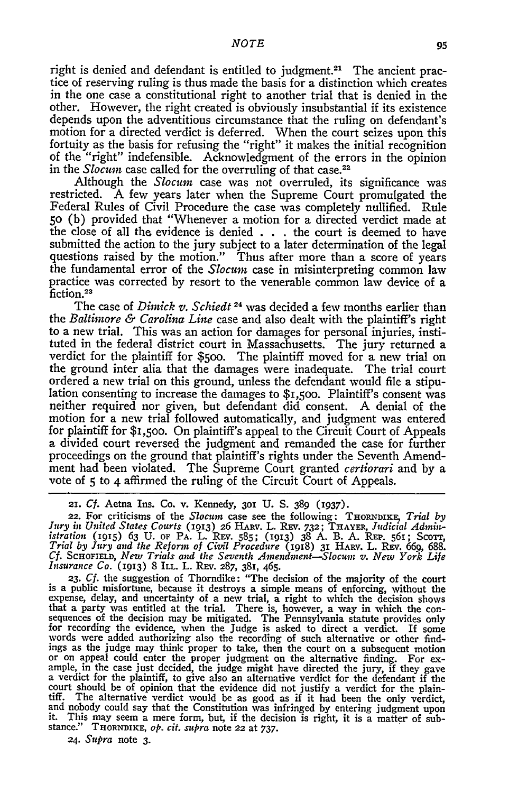right is denied and defendant is entitled to judgment.<sup>21</sup> The ancient practice of reserving ruling is thus made the basis for a distinction which creates in the one case a constitutional right to another trial that is denied in the other. However, the right created is obviously insubstantial if its existence depends upon the adventitious circumstance that the ruling on defendant's motion for a directed verdict is deferred. When the court seizes upon this fortuity as the basis for refusing the "right" it makes the initial recognition of the "right" indefensible. Acknowledgment of the errors in the opinion in the *Slocum* case called for the overruling of that case.<sup>22</sup>

Although the *Slocum* case was not overruled, its significance was restricted. A few years later when the Supreme Court promulgated the Federal Rules of Civil Procedure the case was completely nullified. Rule **50** (b) provided that "Whenever a motion for a directed verdict made at the close of all the evidence is denied . . . the court is deemed to have submitted the action to the jury subject to a later determination of the legal questions raised by the motion." Thus after more than a score of years the fundamental error of the *Slocum* case in misinterpreting common law practice was corrected by resort to the venerable common law device of a fiction.23

The case of *Dimick v. Schiedt* <sup>24</sup> was decided a few months earlier than the *Baltimore & Carolina Line* case and also dealt with the plaintiff's right to a new trial. This was an action for damages for personal injuries, instituted in the federal district court in Massachusetts. The jury returned a verdict for the plaintiff for \$5oo. The plaintiff moved for a new trial on the ground inter alia that the damages were inadequate. The trial court ordered a new trial on this ground, unless the defendant would file a stipulation consenting to increase the damages to \$I,5oo. Plaintiff's consent was neither required nor given, but defendant did consent. A denial of the motion for a new trial followed automatically, and judgment was entered for plaintiff for \$I,5OO. On plaintiff's appeal to the Circuit Court of Appeals a divided court reversed the judgment and remanded the case for further proceedings on the ground that plaintiff's rights under the Seventh Amendment had been violated. The Supreme Court granted *certiorari* and by a vote of **5** to 4 affirmed the ruling of the Circuit Court of Appeals.

**is** a public misfortune, because it destroys a simple means of enforcing, without the expense, delay, and uncertainty of a new trial, a right to which the decision shows<br>that a party was entitled at the trial. There is, however, a way in which the con-<br>sequences of the decision may be mitigated. The Pennsyl or on appeal could enter the proper judgment on the alternative finding. For example, in the case just decided, the judge might have directed the jury, if they gave a verdict for the plaintiff, to give also an alternative court should be of opinion that the evidence did not justify a verdict for the plaintiff. The alternative verdict would be as good as if it had been the only verdict and nobody could say that the Constitution was infringed by entering judgment upon it. This may seem a mere form, but, if the decision is right, it is a matter of substance." **THORNDIKE,** *op. cit. supra* note **22** at 737.

24. *Supra* note **3.**

*<sup>21.</sup> Cf.* Aetna Ins. Co. v. Kennedy, **301 U.** S. 389 *(937).*

<sup>22.</sup> For criticisms of the *Slocum* case see the following: **THORNDIKE ,** *Trial by* Jury in United States Courts (1913) 26 HARV. L. REV. 732; THAYER, Judicial Admin-<br>istration (1915) 63 U. of PA. L. REV. 585; (1913) 38 A. B. A. REP. 561; Scorr.<br>Trial by Jury and the Reform of Civil Procedure (1918) 31 HAR *Cf.* **SCHOFIELD,** *New Trials and the Seventh Antendinent--Slocum v. New York Life Insurance Co.* (1913) 8 **ILL.** L. REV. 287, 381, 465. **23.** *Cf.* the suggestion of Thorndike: "The decision of the majority of the court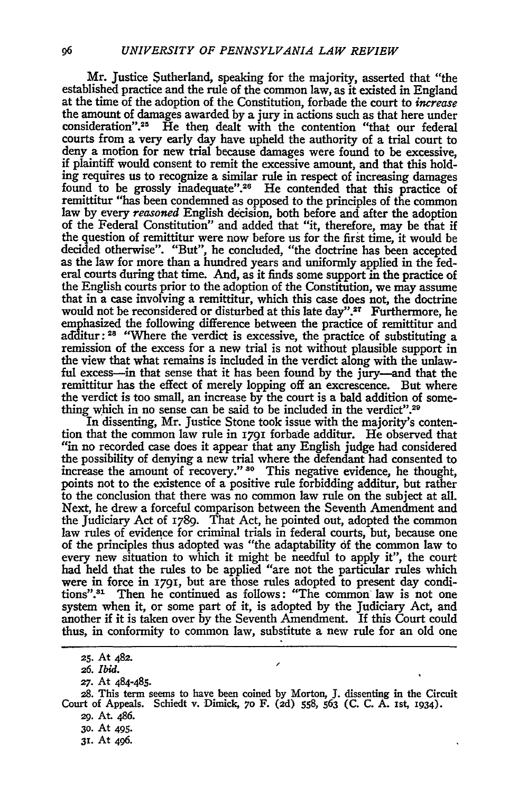Mr. Justice Sutherland, speaking for the majority, asserted that "the established practice and the rule of the common law, as it existed in England at the time of the adoption of the Constitution, forbade the court to *increase* the amount of damages awarded by a jury in actions such as that here under consideration".<sup>25</sup> He then dealt with the contention "that our federal courts from a very early day have upheld the authority of a trial court to deny a motion for new trial because damages were found to be excessive, if plaintiff would consent to remit the excessive amount, and that this holding requires us to recognize a similar rule in respect of increasing damages found to be grossly inadequate".<sup>26</sup> He contended that this practice of remittitur "has been condemned as opposed to the principles of the common law **by** every *reasoned* English decision, both before and after the adoption of the Federal Constitution" and added that "it, therefore, may be that if the question of remittitur were now before us for the first time, it would be decided otherwise". "But", he concluded, "the doctrine has been accepted as the law for more than a hundred years and uniformly applied in the federal courts during that time. And, as it finds some support in the practice of the English courts prior to the adoption of the Constitution, we may assume that in a case involving a remittitur, which this case does not, the doctrine would not be reconsidered or disturbed at this late day".<sup>27</sup> Furthermore, he emphasized the following difference between the practice of remittitur and additur:<sup>28</sup> "Where the verdict is excessive, the practice of substituting a remission of the excess for a new trial is not without plausible support in the view that what remains is included in the verdict along with the unlawful excess-in that sense that it has been found **by** the jury-and that the remittitur has the effect of merely lopping off an excrescence. But where the verdict is too small, an increase **by** the court is a bald addition of something which in no sense can be said to be included in the verdict".<sup>29</sup>

In dissenting, Mr. Justice Stone took issue with the majority's contention that the common law rule in **I79I** forbade additur. He observed that "in no recorded case does it appear that any English judge had considered the possibility of denying a new trial where the defendant had consented to increase the amount of **recovery." 80** This negative evidence, he thought, points not to the existence of a positive rule forbidding additur, but rather to the conclusion that there was no common law rule on the subject at all. Next, he drew a forceful comparison between the Seventh Amendment and the Judiciary Act of 1789. That Act, he pointed out, adopted the common law rules of evidence for criminal trials in federal courts, but, because one of the principles thus adopted was "the adaptability of the common law to every new situation to which it might be needful to apply it", the court had held that the rules to be applied "are not the particular rules which were in force in **I79I,** but are those rules adopted to present day conditions".31 Then he continued as follows: "The common law is not one system when it, or some part of it, is adopted **by** the Judiciary Act, and another if it is taken over **by** the Seventh Amendment. If this Court could thus, in conformity to common law, substitute a new rule for an old one

- **30.** At 495.
- **31.** At 496.

**<sup>25.</sup>** At **482.**

*<sup>26.</sup> Ibid.*

*<sup>27.</sup>* At 484-485.

**<sup>28.</sup>** This term seems to have been coined **by** Morton, J. dissenting in the Circuit Court of Appeals. Schiedt v. Dimick, *7o* F. (2d) **558, 563** (C. C. A. ist, 1934).

*<sup>29.</sup>* At. 486.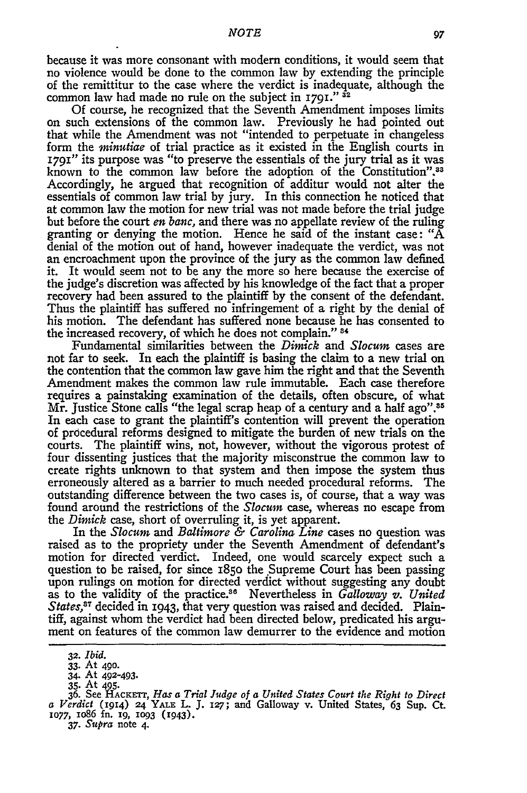because it was more consonant with modem conditions, it would seem that no violence would be done to the common law by extending the principle of the remittitur to the case where the verdict is inadequate, although the common law had made no rule on the subject in **1791." <sup>32</sup>**

Of course, he recognized that the Seventh Amendment imposes limits on such extensions of the common law. Previously he had pointed out that while the Amendment was not "intended to perpetuate in changeless form the *minutiae* of trial practice as it existed in the English courts in 1791" its purpose was "to preserve the essentials of the jury trial as it was known to the common law before the adoption of the Constitution".<sup>33</sup> Accordingly, he argued that recognition of additur would not alter the essentials of common law trial **by** jury. In this connection he noticed that at common law the motion for new trial was not made before the trial judge<br>but before the court *en banc*, and there was no appellate review of the ruling<br>granting or denying the motion. Hence he said of the instant case: denial of the motion out of hand, however inadequate the verdict, was not an encroachment upon the province of the jury as the common law defined it. It would seem not to be any the more so here because the exercise of the judge's discretion was affected **by** his knowledge of the fact that a proper recovery had been assured to the plaintiff **by** the consent of the defendant. Thus the plaintiff has suffered no infringement of a right **by** the denial of his motion. The defendant has suffered none because he has consented to the increased recovery, of which he does not complain." **84**

Fundamental similarities between the *Dimick* and *Slocum* cases are not far to seek. In each the plaintiff is basing the claim to a new trial on the contention that the common law gave him the right and that the Seventh Amendment makes the common law rule immutable. Each case therefore requires a painstaking examination of the details, often obscure, of what<br>Mr. Justice Stone calls "the legal scrap heap of a century and a half ago".<sup>85</sup> In each case to grant the plaintiff's contention will prevent the operation of procedural reforms designed to mitigate the burden of new trials on the courts. The plaintiff wins, not, however, without the vigorous protest of four dissenting justices that the majority misconstrue the common law to create rights unknown to that system and then impose the system thus erroneously altered as a barrier to much needed procedural reforms. The outstanding difference between the two cases is, of course, that a way was found around the restrictions of the *Slocum* case, whereas no escape from the *Dimick* case, short of overruling it, is yet apparent. In the *Slocum* and *Baltimore & Carolina Line* cases no question was

raised as to the propriety under the Seventh Amendment of defendant's motion for directed verdict. Indeed, one would scarcely expect such a question to be raised, for since  $1850$  the Supreme Court has been passing upon rulings on motion for directed verdict without suggesting any doubt as to the validity of the practice.86 Nevertheless in *Galloway v. United States*,<sup>37</sup> decided in 1943, that very question was raised and decided. Plaintiff, against whom the verdict had been directed below, predicated his argument on features of the common law demurrer to the evidence and motion

**37.** *Supra* note 4.

*<sup>32.</sup> Ibid.*

**<sup>33.</sup>** At 490. 34. At 492-493.

**<sup>35.</sup>** At 495.

**<sup>36.</sup>** See **HACKETT,** *Has a Trial Judge of a United States Court the Right to Direct a Verdict* (1914) **24 YALE** L. **J. 127;** and Galloway v. United States, 63 Sup. **Ct.** *,077,* io86 **fn. i9, 1093 (1943).**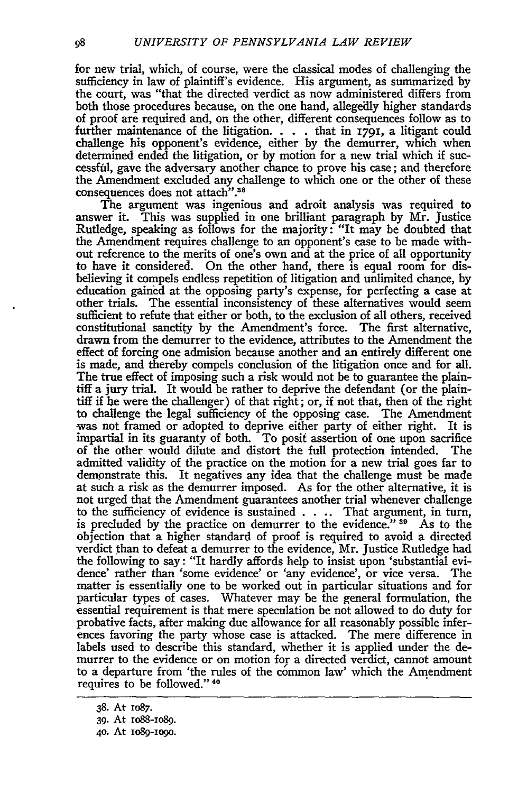for new trial, which, of course, were the classical modes of challenging the sufficiency in law of plaintiff's evidence. His argument, as summarized by the court, was "that the directed verdict as now administered differs from both those procedures because, on the one hand, allegedly higher standards of proof are required and, on the other, different consequences follow as to further maintenance of the litigation. . **.** . that in **1791,** a litigant could challenge his opponent's evidence, either by the demurrer, which when determined ended the litigation, or by motion for a new trial which if successful, gave the adversary another chance to prove his case; and therefore the Amendment excluded any challenge to which one or the other of these consequences does not attach".<sup>38</sup>

The argument was ingenious and adroit analysis was required to answer it. This was supplied in one brilliant paragraph by Mr. Justice Rutledge, speaking as follows for the majority: "It may be doubted that the Amendment requires challenge to an opponent's case to be made without reference to the merits of one's own and at the price of all opportunity to have it considered. On the other hand, there is equal room for disbelieving it compels endless repetition of litigation and unlimited chance, by education gained at the opposing party's expense, for perfecting a case at other trials. The essential inconsistency of these alternatives would seem sufficient to refute that either or both, to the exclusion of all others, received constitutional sanctity by the Amendment's force. The first alternative, drawn from the demurrer to the evidence, attributes to the Amendment the effect of forcing one admision because another and an entirely different one is made, and thereby compels conclusion of the litigation once and for all. The true effect of imposing such a risk would not be to guarantee the plaintiff a jury trial. It would be rather to deprive the defendant (or the plaintiff if he were the challenger) of that right; or, if not that, then of the right to challenge the legal sufficiency of the opposing case. The Amendment was not framed or adopted to deprive either party of either right. It is impartial in its guaranty of both. To posit assertion of one upon sacrifice of the other would dilute and distort the full protection intended. The admitted validity of the practice on the motion for a new trial goes far to demonstrate this. It negatives any idea that the challenge must be made at such a risk as the demurrer imposed. As for the other alternative, it is not urged that the Amendment guarantees another trial whenever challenge to the sufficiency of evidence is sustained . **.** .. That argument, in turn, is precluded by the practice on demurrer to the evidence."<sup>39</sup> As to the objection that a higher standard of proof is required to avoid a directed verdict than to defeat a demurrer to the evidence, Mr. Justice Rutledge had the following to say: "It hardly affords help to insist upon 'substantial evidence' rather than 'some evidence' or 'any evidence', or vice versa. The matter is essentially one to be worked out in particular situations and for particular types of cases. Whatever may be the general formulation, the essential requirement is that mere speculation be not allowed to do duty for probative facts, after making due allowance for all reasonably possible inferences favoring the party whose case is attacked. The mere difference in labels used to describe this standard, Whether it is applied under the demurrer to the evidence or on motion for a directed verdict, cannot amount to a departure from 'the rules of the common law' which the Amendment requires to be followed."<sup>40</sup>

<sup>38.</sup> At io87.

<sup>39.</sup> At ioSS-io89.

<sup>4</sup>o. At io89-io9o.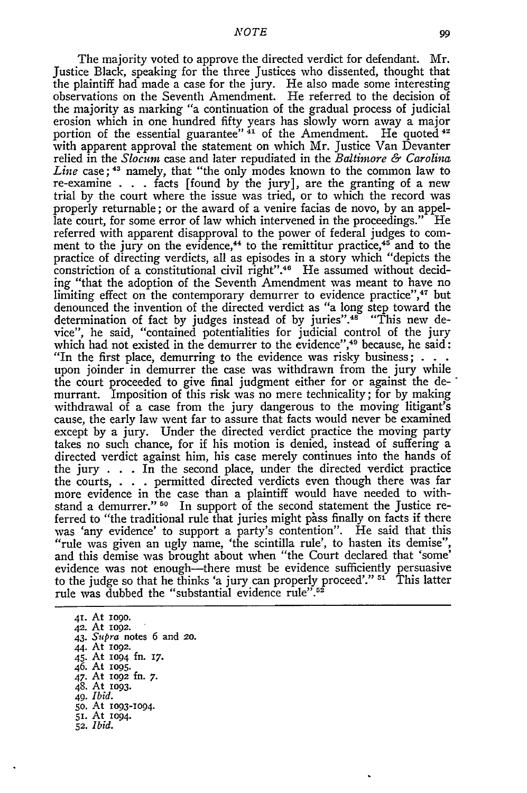The majority voted to approve the directed verdict for defendant. Mr. Justice Black, speaking for the three Justices who dissented, thought that the plaintiff had made a case for the jury. He also made some interesting observations on the Seventh Amendment. He referred to the decision of the majority as marking "a continuation of the gradual process of judicial erosion which in one hundred fifty years has slowly worn away a major portion of the essential guarantee"  $41$  of the Amendment. He quoted  $42$ with apparent approval the statement on which Mr. Justice Van Devanter relied in the *Slocum* case and later repudiated in the *Baltimore & Carolina Line* case; 43 namely, that "the only modes known to the common law to re-examine . **.** . facts [found by the jury], are the granting of a new trial by the court where the issue was tried, or to which the record was properly returnable; or the award of a venire facias de novo, by an appellate court, for some error of law which intervened in the proceedings." He referred with apparent disapproval to the power of federal judges to comment to the jury on the evidence,<sup> $44$ </sup> to the remittitur practice, $45$  and to the practice of directing verdicts, all as episodes in a story which "depicts the constriction of a constitutional civil right".46 He assumed without deciding "that the adoption of the Seventh Amendment was meant to have no limiting effect on the contemporary demurrer to evidence practice",<sup>47</sup> but denounced the invention of the directed verdict as "a long step toward the determination of fact by judges instead of by juries".<sup>48</sup> "This new device", he said, "contained potentialities for judicial control of the jury which had not existed in the demurrer to the evidence",<sup>49</sup> because, he said: "In the first place, demurring to the evidence was risky business; **. . .** upon joinder in demurrer the case was withdrawn from the jury while the court proceeded to give final judgment either for or against the de-" murrant. Imposition of this risk was no mere technicality; for by making withdrawal of a case from the jury dangerous to the moving litigant's cause, the early law went far to assure that facts would never be examined except by a jury. Under the directed verdict practice the moving party takes no such chance, for if his motion is denied, instead of suffering a directed verdict against him, his case merely continues into the hands of the jury . **.** . In the second place, under the directed verdict practice the courts, . . **.** permitted directed verdicts even though there was far more evidence in the case than a plaintiff would have needed to withstand a demurrer." <sup>50</sup> In support of the second statement the Justice referred to "the traditional rule that juries might pass finally on facts if there was 'any evidence' to support a party's contention". He said that this "rule was given an ugly name, 'the scintilla rule', to hasten its demise", and this demise was brought about when "the Court declared that 'some' evidence was not enough--there must be evidence sufficiently persuasive to the judge so that he thinks 'a jury can properly proceed'." <sup>51</sup> This latter rule was dubbed the "substantial evidence rule".<sup>52</sup>

41. At **iogo.** 42. At **1092.** 43. *Supra* notes 6 and *20.* 44. At io92. 45. At 1094 fn. **17.** 46. At 1095. 47. At I092 fn. *7.* 48. At **2093.** *49. Ibid.* **5o.** At 1093-1094. **5i.** At 1094. *52. Ibid.*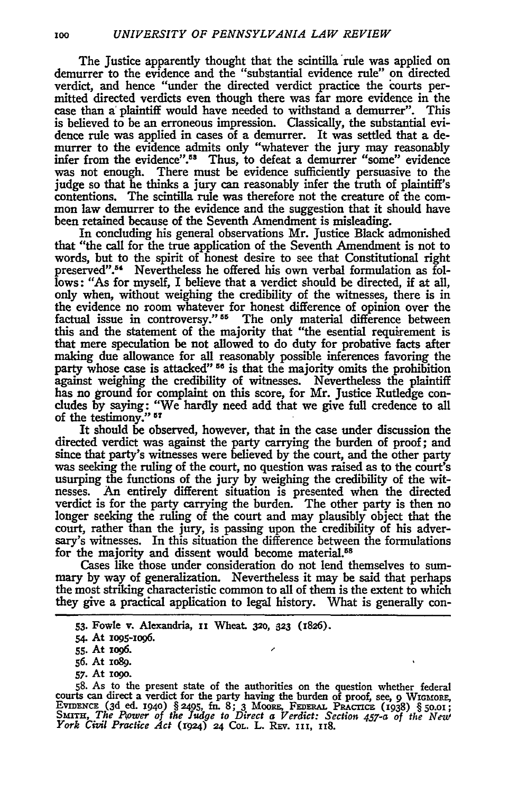The Justice apparently thought that the scintilla rule was applied on demurrer to the evidence and the "substantial evidence rule" on directed verdict, and hence "under the directed verdict practice the courts permitted directed verdicts even though there was far more evidence in the case than *a'* plaintiff would have needed to withstand a demurrer". This is believed to be an erroneous impression. Classically, the substantial evidence rule was applied in cases of a demurrer. It was settled that a demurrer to the evidence admits only "whatever the jury may reasonably infer from the evidence".<sup>58</sup> Thus, to defeat a demurrer "some" evidence was not enough. There must be evidence sufficiently persuasive to the judge so that he thinks a jury can reasonably infer the truth of plaintiff's contentions. The scintilla rule was therefore not the creature of the common law demurrer to the evidence and the suggestion that it should have been retained because of the Seventh Amendment is misleading.

In concluding his general observations Mr. Justice Black admonished that "the call for the true application of the Seventh Amendment is not to words, but to the spirit of honest desire to see that Constitutional right preserved".<sup>54</sup> Nevertheless he offered his own verbal formulation as follows: "As for myself, I believe that a verdict should be directed, if at all, only when, without weighing the credibility of the witnesses, there is in the evidence no room whatever for honest difference of opinion over the factual issue in controversy." 55 The only material difference between this and the statement of the majority that "the esential requirement is that mere speculation be not allowed to do duty for probative facts after making due allowance for all reasonably possible inferences favoring the party whose case is attacked"<sup>56</sup> is that the majority omits the prohibition against weighing the credibility of witnesses. Nevertheless the plaintiff has no ground for complaint on this score, for Mr. Justice Rutledge concludes by saying: "We hardly need add that we give full credence to all of the testimony." **<sup>57</sup>**

It should be observed, however, that in the case under discussion the directed verdict was against the party carrying the burden of proof; and since that party's witnesses were believed by the court, and the other party was seeking the ruling of the court, no question was raised as to the court's usurping the functions of the jury by weighing the credibility of the witnesses. An entirely different situation is presented when the directed verdict is for the party carrying the burden. The other party is then no longer seeking the ruling of the court and may plausibly object that the court, rather than the jury, is passing upon the credibility of his adversary's witnesses. In this situation the difference between the formulations for the majority and dissent would become material.<sup>58</sup>

Cases like those under consideration do not lend themselves to summary **by** way of generalization. Nevertheless it may be said that perhaps the most striking characteristic common to all of them is the extent to which they give a practical application to legal history. What is generally con-

**57.** At **iogo.**

**<sup>53.</sup>** Fowle v. Alexandria, **ii** Wheat **320, 323** (1826).

*<sup>54.</sup>* At **xo95-io96.**

**<sup>55.</sup>** At **io96.**

**<sup>56.</sup>** At xo8g.

**<sup>58.</sup>** As to the present state of the authorities on the question whether federal courts can direct a verdict for the party having the burden of proof, see, **9 WIGMORE,** EvIDENCE **(3d** ed. I94o) **§2495,** In. **8; 3** MOORE, FEDERA. PRAcricE (1938) **§5o.oi; SuITH,** *The Flower of the Judge to Direct a Verdict: Section 457-a of the New York Civil Practice Act* **(r924) 24 COL.** L. **REv. iii,** 118.